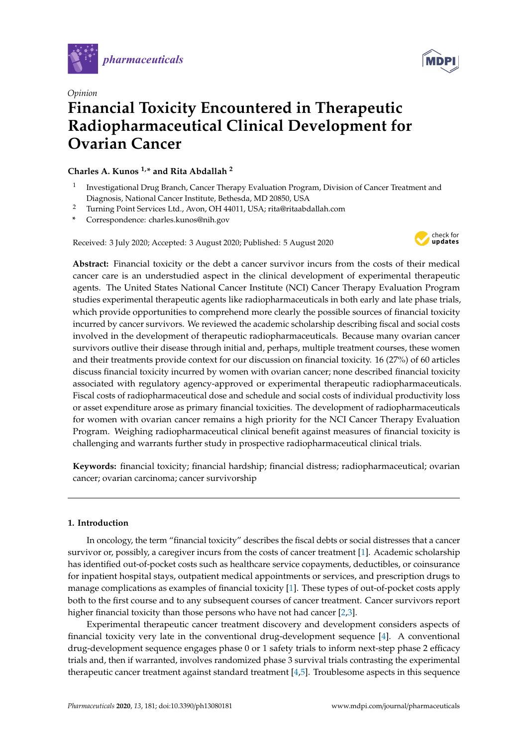



# *Opinion* **Financial Toxicity Encountered in Therapeutic Radiopharmaceutical Clinical Development for Ovarian Cancer**

# **Charles A. Kunos 1,\* and Rita Abdallah <sup>2</sup>**

- 1 Investigational Drug Branch, Cancer Therapy Evaluation Program, Division of Cancer Treatment and Diagnosis, National Cancer Institute, Bethesda, MD 20850, USA
- <sup>2</sup> Turning Point Services Ltd., Avon, OH 44011, USA; rita@ritaabdallah.com
- **\*** Correspondence: charles.kunos@nih.gov

Received: 3 July 2020; Accepted: 3 August 2020; Published: 5 August 2020



**Abstract:** Financial toxicity or the debt a cancer survivor incurs from the costs of their medical cancer care is an understudied aspect in the clinical development of experimental therapeutic agents. The United States National Cancer Institute (NCI) Cancer Therapy Evaluation Program studies experimental therapeutic agents like radiopharmaceuticals in both early and late phase trials, which provide opportunities to comprehend more clearly the possible sources of financial toxicity incurred by cancer survivors. We reviewed the academic scholarship describing fiscal and social costs involved in the development of therapeutic radiopharmaceuticals. Because many ovarian cancer survivors outlive their disease through initial and, perhaps, multiple treatment courses, these women and their treatments provide context for our discussion on financial toxicity. 16 (27%) of 60 articles discuss financial toxicity incurred by women with ovarian cancer; none described financial toxicity associated with regulatory agency-approved or experimental therapeutic radiopharmaceuticals. Fiscal costs of radiopharmaceutical dose and schedule and social costs of individual productivity loss or asset expenditure arose as primary financial toxicities. The development of radiopharmaceuticals for women with ovarian cancer remains a high priority for the NCI Cancer Therapy Evaluation Program. Weighing radiopharmaceutical clinical benefit against measures of financial toxicity is challenging and warrants further study in prospective radiopharmaceutical clinical trials.

**Keywords:** financial toxicity; financial hardship; financial distress; radiopharmaceutical; ovarian cancer; ovarian carcinoma; cancer survivorship

# **1. Introduction**

In oncology, the term "financial toxicity" describes the fiscal debts or social distresses that a cancer survivor or, possibly, a caregiver incurs from the costs of cancer treatment [\[1\]](#page-7-0). Academic scholarship has identified out-of-pocket costs such as healthcare service copayments, deductibles, or coinsurance for inpatient hospital stays, outpatient medical appointments or services, and prescription drugs to manage complications as examples of financial toxicity [\[1\]](#page-7-0). These types of out-of-pocket costs apply both to the first course and to any subsequent courses of cancer treatment. Cancer survivors report higher financial toxicity than those persons who have not had cancer [\[2](#page-7-1)[,3\]](#page-7-2).

Experimental therapeutic cancer treatment discovery and development considers aspects of financial toxicity very late in the conventional drug-development sequence [\[4\]](#page-7-3). A conventional drug-development sequence engages phase 0 or 1 safety trials to inform next-step phase 2 efficacy trials and, then if warranted, involves randomized phase 3 survival trials contrasting the experimental therapeutic cancer treatment against standard treatment [\[4,](#page-7-3)[5\]](#page-7-4). Troublesome aspects in this sequence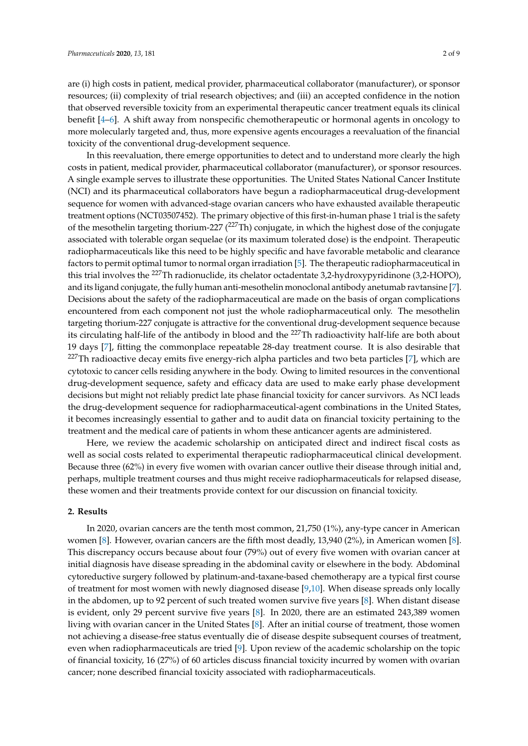are (i) high costs in patient, medical provider, pharmaceutical collaborator (manufacturer), or sponsor resources; (ii) complexity of trial research objectives; and (iii) an accepted confidence in the notion that observed reversible toxicity from an experimental therapeutic cancer treatment equals its clinical benefit [\[4–](#page-7-3)[6\]](#page-7-5). A shift away from nonspecific chemotherapeutic or hormonal agents in oncology to more molecularly targeted and, thus, more expensive agents encourages a reevaluation of the financial toxicity of the conventional drug-development sequence.

In this reevaluation, there emerge opportunities to detect and to understand more clearly the high costs in patient, medical provider, pharmaceutical collaborator (manufacturer), or sponsor resources. A single example serves to illustrate these opportunities. The United States National Cancer Institute (NCI) and its pharmaceutical collaborators have begun a radiopharmaceutical drug-development sequence for women with advanced-stage ovarian cancers who have exhausted available therapeutic treatment options (NCT03507452). The primary objective of this first-in-human phase 1 trial is the safety of the mesothelin targeting thorium-227  $(^{227}Th)$  conjugate, in which the highest dose of the conjugate associated with tolerable organ sequelae (or its maximum tolerated dose) is the endpoint. Therapeutic radiopharmaceuticals like this need to be highly specific and have favorable metabolic and clearance factors to permit optimal tumor to normal organ irradiation [\[5\]](#page-7-4). The therapeutic radiopharmaceutical in this trial involves the <sup>227</sup>Th radionuclide, its chelator octadentate 3,2-hydroxypyridinone (3,2-HOPO), and its ligand conjugate, the fully human anti-mesothelin monoclonal antibody anetumab ravtansine [\[7\]](#page-7-6). Decisions about the safety of the radiopharmaceutical are made on the basis of organ complications encountered from each component not just the whole radiopharmaceutical only. The mesothelin targeting thorium-227 conjugate is attractive for the conventional drug-development sequence because its circulating half-life of the antibody in blood and the <sup>227</sup>Th radioactivity half-life are both about 19 days [\[7\]](#page-7-6), fitting the commonplace repeatable 28-day treatment course. It is also desirable that  $227$ Th radioactive decay emits five energy-rich alpha particles and two beta particles [\[7\]](#page-7-6), which are cytotoxic to cancer cells residing anywhere in the body. Owing to limited resources in the conventional drug-development sequence, safety and efficacy data are used to make early phase development decisions but might not reliably predict late phase financial toxicity for cancer survivors. As NCI leads the drug-development sequence for radiopharmaceutical-agent combinations in the United States, it becomes increasingly essential to gather and to audit data on financial toxicity pertaining to the treatment and the medical care of patients in whom these anticancer agents are administered.

Here, we review the academic scholarship on anticipated direct and indirect fiscal costs as well as social costs related to experimental therapeutic radiopharmaceutical clinical development. Because three (62%) in every five women with ovarian cancer outlive their disease through initial and, perhaps, multiple treatment courses and thus might receive radiopharmaceuticals for relapsed disease, these women and their treatments provide context for our discussion on financial toxicity.

## **2. Results**

In 2020, ovarian cancers are the tenth most common, 21,750 (1%), any-type cancer in American women [\[8\]](#page-7-7). However, ovarian cancers are the fifth most deadly, 13,940 (2%), in American women [\[8\]](#page-7-7). This discrepancy occurs because about four (79%) out of every five women with ovarian cancer at initial diagnosis have disease spreading in the abdominal cavity or elsewhere in the body. Abdominal cytoreductive surgery followed by platinum-and-taxane-based chemotherapy are a typical first course of treatment for most women with newly diagnosed disease [\[9](#page-7-8)[,10\]](#page-7-9). When disease spreads only locally in the abdomen, up to 92 percent of such treated women survive five years [\[8\]](#page-7-7). When distant disease is evident, only 29 percent survive five years [\[8\]](#page-7-7). In 2020, there are an estimated 243,389 women living with ovarian cancer in the United States [\[8\]](#page-7-7). After an initial course of treatment, those women not achieving a disease-free status eventually die of disease despite subsequent courses of treatment, even when radiopharmaceuticals are tried [\[9\]](#page-7-8). Upon review of the academic scholarship on the topic of financial toxicity, 16 (27%) of 60 articles discuss financial toxicity incurred by women with ovarian cancer; none described financial toxicity associated with radiopharmaceuticals.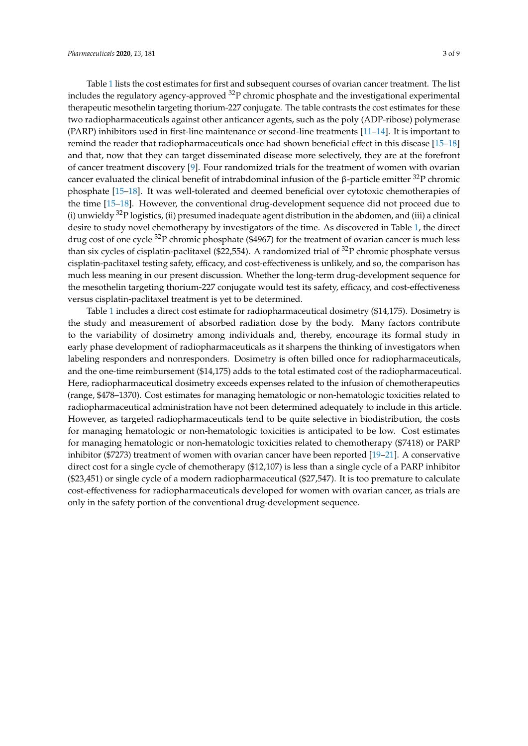Table [1](#page-3-0) lists the cost estimates for first and subsequent courses of ovarian cancer treatment. The list includes the regulatory agency-approved  $^{32}P$  chromic phosphate and the investigational experimental therapeutic mesothelin targeting thorium-227 conjugate. The table contrasts the cost estimates for these two radiopharmaceuticals against other anticancer agents, such as the poly (ADP-ribose) polymerase (PARP) inhibitors used in first-line maintenance or second-line treatments [\[11–](#page-7-10)[14\]](#page-8-0). It is important to remind the reader that radiopharmaceuticals once had shown beneficial effect in this disease [\[15](#page-8-1)[–18\]](#page-8-2) and that, now that they can target disseminated disease more selectively, they are at the forefront of cancer treatment discovery [\[9\]](#page-7-8). Four randomized trials for the treatment of women with ovarian cancer evaluated the clinical benefit of intrabdominal infusion of the β-particle emitter  $32P$  chromic phosphate [\[15–](#page-8-1)[18\]](#page-8-2). It was well-tolerated and deemed beneficial over cytotoxic chemotherapies of the time [\[15](#page-8-1)[–18\]](#page-8-2). However, the conventional drug-development sequence did not proceed due to (i) unwieldy  $32P$  logistics, (ii) presumed inadequate agent distribution in the abdomen, and (iii) a clinical desire to study novel chemotherapy by investigators of the time. As discovered in Table [1,](#page-3-0) the direct drug cost of one cycle <sup>32</sup>P chromic phosphate (\$4967) for the treatment of ovarian cancer is much less than six cycles of cisplatin-paclitaxel (\$22,554). A randomized trial of  $^{32}P$  chromic phosphate versus cisplatin-paclitaxel testing safety, efficacy, and cost-effectiveness is unlikely, and so, the comparison has much less meaning in our present discussion. Whether the long-term drug-development sequence for the mesothelin targeting thorium-227 conjugate would test its safety, efficacy, and cost-effectiveness versus cisplatin-paclitaxel treatment is yet to be determined.

Table [1](#page-3-0) includes a direct cost estimate for radiopharmaceutical dosimetry (\$14,175). Dosimetry is the study and measurement of absorbed radiation dose by the body. Many factors contribute to the variability of dosimetry among individuals and, thereby, encourage its formal study in early phase development of radiopharmaceuticals as it sharpens the thinking of investigators when labeling responders and nonresponders. Dosimetry is often billed once for radiopharmaceuticals, and the one-time reimbursement (\$14,175) adds to the total estimated cost of the radiopharmaceutical. Here, radiopharmaceutical dosimetry exceeds expenses related to the infusion of chemotherapeutics (range, \$478–1370). Cost estimates for managing hematologic or non-hematologic toxicities related to radiopharmaceutical administration have not been determined adequately to include in this article. However, as targeted radiopharmaceuticals tend to be quite selective in biodistribution, the costs for managing hematologic or non-hematologic toxicities is anticipated to be low. Cost estimates for managing hematologic or non-hematologic toxicities related to chemotherapy (\$7418) or PARP inhibitor (\$7273) treatment of women with ovarian cancer have been reported [\[19–](#page-8-3)[21\]](#page-8-4). A conservative direct cost for a single cycle of chemotherapy (\$12,107) is less than a single cycle of a PARP inhibitor (\$23,451) or single cycle of a modern radiopharmaceutical (\$27,547). It is too premature to calculate cost-effectiveness for radiopharmaceuticals developed for women with ovarian cancer, as trials are only in the safety portion of the conventional drug-development sequence.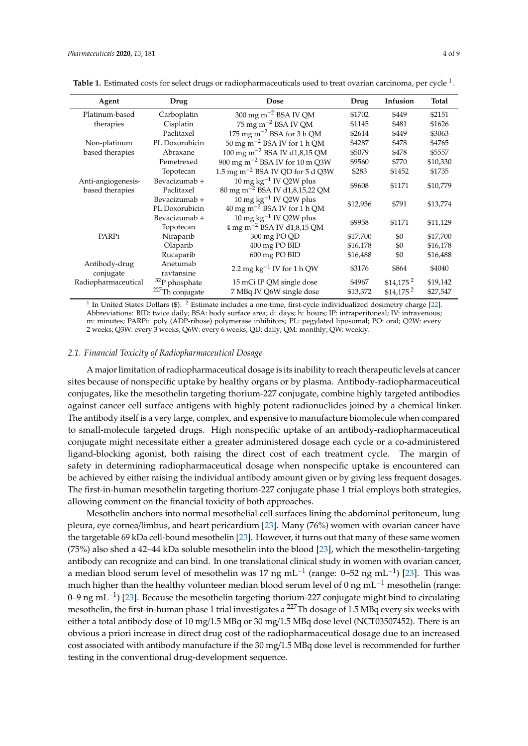| Agent                                 | Drug                            | Dose                                                                           | Drug     | Infusion               | <b>Total</b> |
|---------------------------------------|---------------------------------|--------------------------------------------------------------------------------|----------|------------------------|--------------|
| Platinum-based                        | Carboplatin                     | $300 \text{ mg m}^{-2}$ BSA IV QM                                              | \$1702   | \$449                  | \$2151       |
| therapies                             | Cisplatin                       | $75 \text{ mg m}^{-2}$ BSA IV QM                                               | \$1145   | \$481                  | \$1626       |
|                                       | Paclitaxel                      | 175 mg m <sup><math>-2</math></sup> BSA for 3 h QM                             | \$2614   | \$449                  | \$3063       |
| Non-platinum                          | PL Doxorubicin                  | $50 \text{ mg m}^{-2}$ BSA IV for 1 h QM                                       | \$4287   | \$478                  | \$4765       |
| based therapies                       | Abraxane                        | 100 mg m <sup>-2</sup> BSA IV d1,8,15 QM                                       | \$5079   | \$478                  | \$5557       |
|                                       | Pemetrexed                      | 900 mg m <sup>-2</sup> BSA IV for 10 m Q3W                                     | \$9560   | \$770                  | \$10,330     |
|                                       | Topotecan                       | 1.5 mg m <sup><math>-2</math></sup> BSA IV QD for 5 d Q3W                      | \$283    | \$1452                 | \$1735       |
| Anti-angiogenesis-<br>based therapies | Bevacizumab +<br>Paclitaxel     | 10 mg $kg^{-1}$ IV Q2W plus<br>80 mg m <sup>-2</sup> BSA IV d1,8,15,22 QM      | \$9608   | \$1171                 | \$10,779     |
|                                       | Bevacizumab +<br>PL Doxorubicin | 10 mg $kg^{-1}$ IV Q2W plus<br>$40 \text{ mg m}^{-2}$ BSA IV for 1 h QM        | \$12,936 | \$791                  | \$13,774     |
|                                       | Bevacizumab +<br>Topotecan      | $10 \text{ mg kg}^{-1}$ IV Q2W plus<br>$4 \text{ mg m}^{-2}$ BSA IV d1,8,15 QM | \$9958   | \$1171                 | \$11,129     |
| PARPi                                 | Niraparib                       | 300 mg PO QD                                                                   | \$17,700 | \$0                    | \$17,700     |
|                                       | Olaparib                        | 400 mg PO BID                                                                  | \$16,178 | \$0                    | \$16,178     |
|                                       | Rucaparib                       | 600 mg PO BID                                                                  | \$16,488 | \$0                    | \$16,488     |
| Antibody-drug<br>conjugate            | Anetumab<br>ravtansine          | 2.2 mg $kg^{-1}$ IV for 1 h QW                                                 | \$3176   | \$864                  | \$4040       |
| Radiopharmaceutical                   | $32P$ phosphate                 | 15 mCi IP QM single dose                                                       | \$4967   | $$14,175$ <sup>2</sup> | \$19,142     |
|                                       | <sup>227</sup> Th conjugate     | 7 MBq IV Q6W single dose                                                       | \$13,372 | $$14,175$ <sup>2</sup> | \$27,547     |

<span id="page-3-0"></span>**Table 1.** Estimated costs for select drugs or radiopharmaceuticals used to treat ovarian carcinoma, per cycle <sup>1</sup>.

 $<sup>1</sup>$  In United States Dollars (\$).  $<sup>2</sup>$  Estimate includes a one-time, first-cycle individualized dosimetry charge [\[22\]](#page-8-5).</sup></sup> Abbreviations: BID: twice daily; BSA: body surface area; d: days; h: hours; IP: intraperitoneal; IV: intravenous; m: minutes; PARPi: poly (ADP-ribose) polymerase inhibitors; PL: pegylated liposomal; PO: oral; Q2W: every 2 weeks; Q3W: every 3 weeks; Q6W: every 6 weeks; QD: daily; QM: monthly; QW: weekly.

#### *2.1. Financial Toxicity of Radiopharmaceutical Dosage*

A major limitation of radiopharmaceutical dosage is its inability to reach therapeutic levels at cancer sites because of nonspecific uptake by healthy organs or by plasma. Antibody-radiopharmaceutical conjugates, like the mesothelin targeting thorium-227 conjugate, combine highly targeted antibodies against cancer cell surface antigens with highly potent radionuclides joined by a chemical linker. The antibody itself is a very large, complex, and expensive to manufacture biomolecule when compared to small-molecule targeted drugs. High nonspecific uptake of an antibody-radiopharmaceutical conjugate might necessitate either a greater administered dosage each cycle or a co-administered ligand-blocking agonist, both raising the direct cost of each treatment cycle. The margin of safety in determining radiopharmaceutical dosage when nonspecific uptake is encountered can be achieved by either raising the individual antibody amount given or by giving less frequent dosages. The first-in-human mesothelin targeting thorium-227 conjugate phase 1 trial employs both strategies, allowing comment on the financial toxicity of both approaches.

Mesothelin anchors into normal mesothelial cell surfaces lining the abdominal peritoneum, lung pleura, eye cornea/limbus, and heart pericardium [\[23\]](#page-8-6). Many (76%) women with ovarian cancer have the targetable 69 kDa cell-bound mesothelin [\[23\]](#page-8-6). However, it turns out that many of these same women (75%) also shed a 42–44 kDa soluble mesothelin into the blood [\[23\]](#page-8-6), which the mesothelin-targeting antibody can recognize and can bind. In one translational clinical study in women with ovarian cancer, a median blood serum level of mesothelin was 17 ng mL<sup>-1</sup> (range: 0–52 ng mL<sup>-1</sup>) [\[23\]](#page-8-6). This was much higher than the healthy volunteer median blood serum level of 0 ng mL<sup>-1</sup> mesothelin (range: 0–9 ng mL−<sup>1</sup> ) [\[23\]](#page-8-6). Because the mesothelin targeting thorium-227 conjugate might bind to circulating mesothelin, the first-in-human phase 1 trial investigates a <sup>227</sup>Th dosage of 1.5 MBq every six weeks with either a total antibody dose of 10 mg/1.5 MBq or 30 mg/1.5 MBq dose level (NCT03507452). There is an obvious a priori increase in direct drug cost of the radiopharmaceutical dosage due to an increased cost associated with antibody manufacture if the 30 mg/1.5 MBq dose level is recommended for further testing in the conventional drug-development sequence.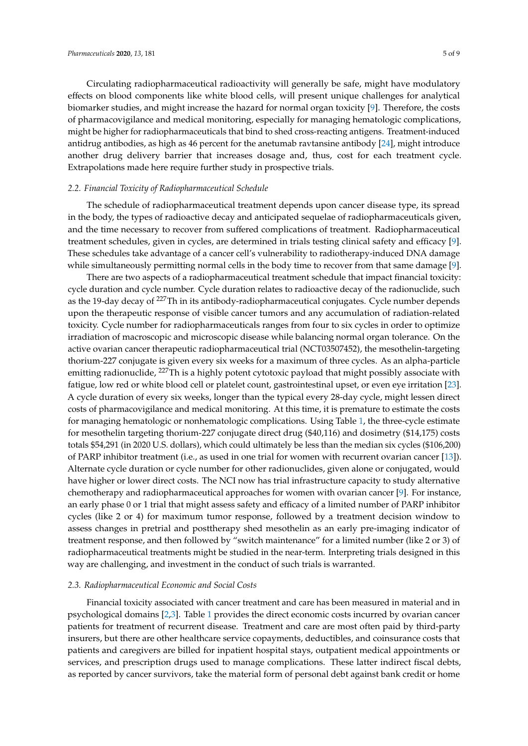Circulating radiopharmaceutical radioactivity will generally be safe, might have modulatory effects on blood components like white blood cells, will present unique challenges for analytical biomarker studies, and might increase the hazard for normal organ toxicity [\[9\]](#page-7-8). Therefore, the costs of pharmacovigilance and medical monitoring, especially for managing hematologic complications, might be higher for radiopharmaceuticals that bind to shed cross-reacting antigens. Treatment-induced antidrug antibodies, as high as 46 percent for the anetumab ravtansine antibody [\[24\]](#page-8-7), might introduce another drug delivery barrier that increases dosage and, thus, cost for each treatment cycle. Extrapolations made here require further study in prospective trials.

#### *2.2. Financial Toxicity of Radiopharmaceutical Schedule*

The schedule of radiopharmaceutical treatment depends upon cancer disease type, its spread in the body, the types of radioactive decay and anticipated sequelae of radiopharmaceuticals given, and the time necessary to recover from suffered complications of treatment. Radiopharmaceutical treatment schedules, given in cycles, are determined in trials testing clinical safety and efficacy [\[9\]](#page-7-8). These schedules take advantage of a cancer cell's vulnerability to radiotherapy-induced DNA damage while simultaneously permitting normal cells in the body time to recover from that same damage [\[9\]](#page-7-8).

There are two aspects of a radiopharmaceutical treatment schedule that impact financial toxicity: cycle duration and cycle number. Cycle duration relates to radioactive decay of the radionuclide, such as the 19-day decay of <sup>227</sup>Th in its antibody-radiopharmaceutical conjugates. Cycle number depends upon the therapeutic response of visible cancer tumors and any accumulation of radiation-related toxicity. Cycle number for radiopharmaceuticals ranges from four to six cycles in order to optimize irradiation of macroscopic and microscopic disease while balancing normal organ tolerance. On the active ovarian cancer therapeutic radiopharmaceutical trial (NCT03507452), the mesothelin-targeting thorium-227 conjugate is given every six weeks for a maximum of three cycles. As an alpha-particle emitting radionuclide, <sup>227</sup>Th is a highly potent cytotoxic payload that might possibly associate with fatigue, low red or white blood cell or platelet count, gastrointestinal upset, or even eye irritation [\[23\]](#page-8-6). A cycle duration of every six weeks, longer than the typical every 28-day cycle, might lessen direct costs of pharmacovigilance and medical monitoring. At this time, it is premature to estimate the costs for managing hematologic or nonhematologic complications. Using Table [1,](#page-3-0) the three-cycle estimate for mesothelin targeting thorium-227 conjugate direct drug (\$40,116) and dosimetry (\$14,175) costs totals \$54,291 (in 2020 U.S. dollars), which could ultimately be less than the median six cycles (\$106,200) of PARP inhibitor treatment (i.e., as used in one trial for women with recurrent ovarian cancer [\[13\]](#page-7-11)). Alternate cycle duration or cycle number for other radionuclides, given alone or conjugated, would have higher or lower direct costs. The NCI now has trial infrastructure capacity to study alternative chemotherapy and radiopharmaceutical approaches for women with ovarian cancer [\[9\]](#page-7-8). For instance, an early phase 0 or 1 trial that might assess safety and efficacy of a limited number of PARP inhibitor cycles (like 2 or 4) for maximum tumor response, followed by a treatment decision window to assess changes in pretrial and posttherapy shed mesothelin as an early pre-imaging indicator of treatment response, and then followed by "switch maintenance" for a limited number (like 2 or 3) of radiopharmaceutical treatments might be studied in the near-term. Interpreting trials designed in this way are challenging, and investment in the conduct of such trials is warranted.

#### *2.3. Radiopharmaceutical Economic and Social Costs*

Financial toxicity associated with cancer treatment and care has been measured in material and in psychological domains [\[2](#page-7-1)[,3\]](#page-7-2). Table [1](#page-3-0) provides the direct economic costs incurred by ovarian cancer patients for treatment of recurrent disease. Treatment and care are most often paid by third-party insurers, but there are other healthcare service copayments, deductibles, and coinsurance costs that patients and caregivers are billed for inpatient hospital stays, outpatient medical appointments or services, and prescription drugs used to manage complications. These latter indirect fiscal debts, as reported by cancer survivors, take the material form of personal debt against bank credit or home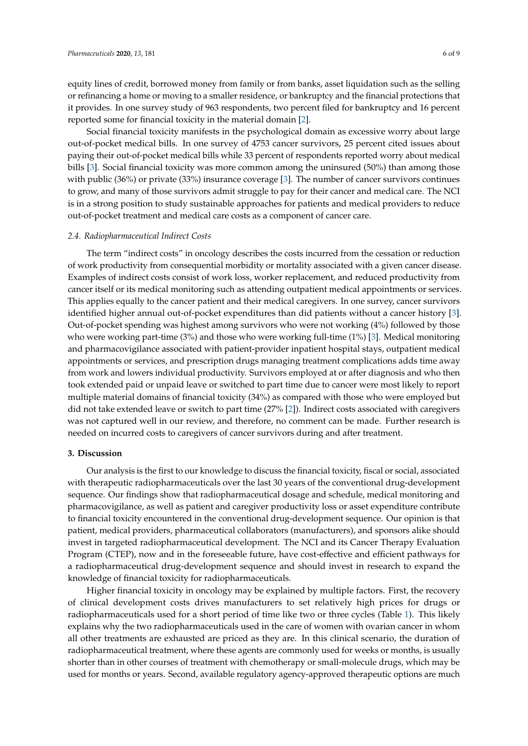equity lines of credit, borrowed money from family or from banks, asset liquidation such as the selling or refinancing a home or moving to a smaller residence, or bankruptcy and the financial protections that it provides. In one survey study of 963 respondents, two percent filed for bankruptcy and 16 percent reported some for financial toxicity in the material domain [\[2\]](#page-7-1).

Social financial toxicity manifests in the psychological domain as excessive worry about large out-of-pocket medical bills. In one survey of 4753 cancer survivors, 25 percent cited issues about paying their out-of-pocket medical bills while 33 percent of respondents reported worry about medical bills [\[3\]](#page-7-2). Social financial toxicity was more common among the uninsured (50%) than among those with public (36%) or private (33%) insurance coverage [\[3\]](#page-7-2). The number of cancer survivors continues to grow, and many of those survivors admit struggle to pay for their cancer and medical care. The NCI is in a strong position to study sustainable approaches for patients and medical providers to reduce out-of-pocket treatment and medical care costs as a component of cancer care.

#### *2.4. Radiopharmaceutical Indirect Costs*

The term "indirect costs" in oncology describes the costs incurred from the cessation or reduction of work productivity from consequential morbidity or mortality associated with a given cancer disease. Examples of indirect costs consist of work loss, worker replacement, and reduced productivity from cancer itself or its medical monitoring such as attending outpatient medical appointments or services. This applies equally to the cancer patient and their medical caregivers. In one survey, cancer survivors identified higher annual out-of-pocket expenditures than did patients without a cancer history [\[3\]](#page-7-2). Out-of-pocket spending was highest among survivors who were not working (4%) followed by those who were working part-time (3%) and those who were working full-time (1%) [\[3\]](#page-7-2). Medical monitoring and pharmacovigilance associated with patient-provider inpatient hospital stays, outpatient medical appointments or services, and prescription drugs managing treatment complications adds time away from work and lowers individual productivity. Survivors employed at or after diagnosis and who then took extended paid or unpaid leave or switched to part time due to cancer were most likely to report multiple material domains of financial toxicity (34%) as compared with those who were employed but did not take extended leave or switch to part time (27% [\[2\]](#page-7-1)). Indirect costs associated with caregivers was not captured well in our review, and therefore, no comment can be made. Further research is needed on incurred costs to caregivers of cancer survivors during and after treatment.

## **3. Discussion**

Our analysis is the first to our knowledge to discuss the financial toxicity, fiscal or social, associated with therapeutic radiopharmaceuticals over the last 30 years of the conventional drug-development sequence. Our findings show that radiopharmaceutical dosage and schedule, medical monitoring and pharmacovigilance, as well as patient and caregiver productivity loss or asset expenditure contribute to financial toxicity encountered in the conventional drug-development sequence. Our opinion is that patient, medical providers, pharmaceutical collaborators (manufacturers), and sponsors alike should invest in targeted radiopharmaceutical development. The NCI and its Cancer Therapy Evaluation Program (CTEP), now and in the foreseeable future, have cost-effective and efficient pathways for a radiopharmaceutical drug-development sequence and should invest in research to expand the knowledge of financial toxicity for radiopharmaceuticals.

Higher financial toxicity in oncology may be explained by multiple factors. First, the recovery of clinical development costs drives manufacturers to set relatively high prices for drugs or radiopharmaceuticals used for a short period of time like two or three cycles (Table [1\)](#page-3-0). This likely explains why the two radiopharmaceuticals used in the care of women with ovarian cancer in whom all other treatments are exhausted are priced as they are. In this clinical scenario, the duration of radiopharmaceutical treatment, where these agents are commonly used for weeks or months, is usually shorter than in other courses of treatment with chemotherapy or small-molecule drugs, which may be used for months or years. Second, available regulatory agency-approved therapeutic options are much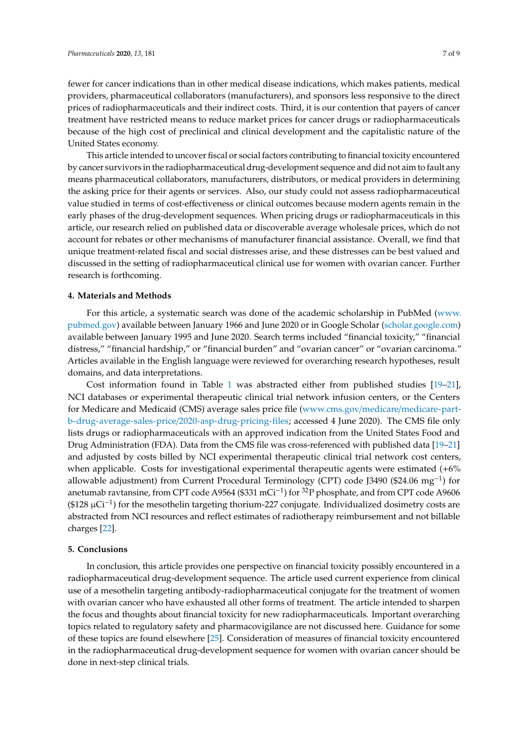fewer for cancer indications than in other medical disease indications, which makes patients, medical providers, pharmaceutical collaborators (manufacturers), and sponsors less responsive to the direct prices of radiopharmaceuticals and their indirect costs. Third, it is our contention that payers of cancer treatment have restricted means to reduce market prices for cancer drugs or radiopharmaceuticals because of the high cost of preclinical and clinical development and the capitalistic nature of the United States economy.

This article intended to uncover fiscal or social factors contributing to financial toxicity encountered by cancer survivors in the radiopharmaceutical drug-development sequence and did not aim to fault any means pharmaceutical collaborators, manufacturers, distributors, or medical providers in determining the asking price for their agents or services. Also, our study could not assess radiopharmaceutical value studied in terms of cost-effectiveness or clinical outcomes because modern agents remain in the early phases of the drug-development sequences. When pricing drugs or radiopharmaceuticals in this article, our research relied on published data or discoverable average wholesale prices, which do not account for rebates or other mechanisms of manufacturer financial assistance. Overall, we find that unique treatment-related fiscal and social distresses arise, and these distresses can be best valued and discussed in the setting of radiopharmaceutical clinical use for women with ovarian cancer. Further research is forthcoming.

### **4. Materials and Methods**

For this article, a systematic search was done of the academic scholarship in PubMed [\(www.](www.pubmed.gov) [pubmed.gov\)](www.pubmed.gov) available between January 1966 and June 2020 or in Google Scholar [\(scholar.google.com\)](scholar.google.com) available between January 1995 and June 2020. Search terms included "financial toxicity," "financial distress," "financial hardship," or "financial burden" and "ovarian cancer" or "ovarian carcinoma." Articles available in the English language were reviewed for overarching research hypotheses, result domains, and data interpretations.

Cost information found in Table [1](#page-3-0) was abstracted either from published studies [\[19](#page-8-3)[–21\]](#page-8-4), NCI databases or experimental therapeutic clinical trial network infusion centers, or the Centers for Medicare and Medicaid (CMS) average sales price file (www.cms.gov/medicare/[medicare-part](www.cms.gov/medicare/medicare-part-b-drug-average-sales-price/2020-asp-drug-pricing-files)b-drug-average-sales-price/[2020-asp-drug-pricing-files;](www.cms.gov/medicare/medicare-part-b-drug-average-sales-price/2020-asp-drug-pricing-files) accessed 4 June 2020). The CMS file only lists drugs or radiopharmaceuticals with an approved indication from the United States Food and Drug Administration (FDA). Data from the CMS file was cross-referenced with published data [\[19–](#page-8-3)[21\]](#page-8-4) and adjusted by costs billed by NCI experimental therapeutic clinical trial network cost centers, when applicable. Costs for investigational experimental therapeutic agents were estimated (+6% allowable adjustment) from Current Procedural Terminology (CPT) code J3490 (\$24.06 mg−<sup>1</sup> ) for anetumab ravtansine, from CPT code A9564 (\$331 mCi<sup>-1</sup>) for <sup>32</sup>P phosphate, and from CPT code A9606 (\$128 µCi−<sup>1</sup> ) for the mesothelin targeting thorium-227 conjugate. Individualized dosimetry costs are abstracted from NCI resources and reflect estimates of radiotherapy reimbursement and not billable charges [\[22\]](#page-8-5).

#### **5. Conclusions**

In conclusion, this article provides one perspective on financial toxicity possibly encountered in a radiopharmaceutical drug-development sequence. The article used current experience from clinical use of a mesothelin targeting antibody-radiopharmaceutical conjugate for the treatment of women with ovarian cancer who have exhausted all other forms of treatment. The article intended to sharpen the focus and thoughts about financial toxicity for new radiopharmaceuticals. Important overarching topics related to regulatory safety and pharmacovigilance are not discussed here. Guidance for some of these topics are found elsewhere [\[25\]](#page-8-8). Consideration of measures of financial toxicity encountered in the radiopharmaceutical drug-development sequence for women with ovarian cancer should be done in next-step clinical trials.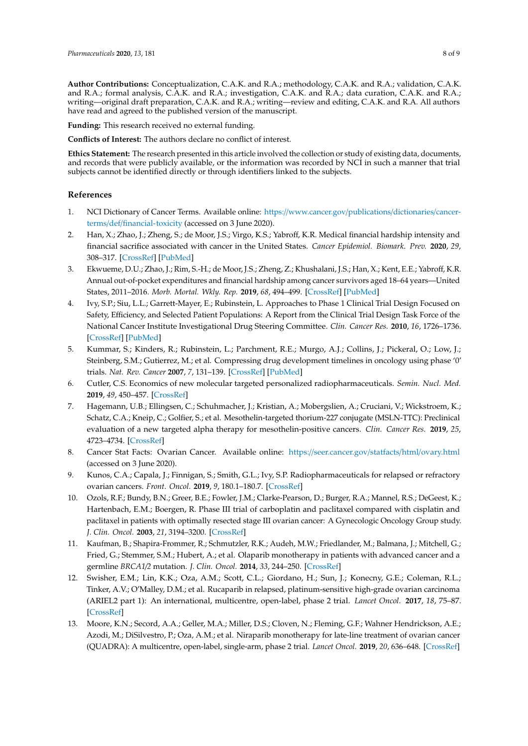**Author Contributions:** Conceptualization, C.A.K. and R.A.; methodology, C.A.K. and R.A.; validation, C.A.K. and R.A.; formal analysis, C.A.K. and R.A.; investigation, C.A.K. and R.A.; data curation, C.A.K. and R.A.; writing—original draft preparation, C.A.K. and R.A.; writing—review and editing, C.A.K. and R.A. All authors have read and agreed to the published version of the manuscript.

**Funding:** This research received no external funding.

**Conflicts of Interest:** The authors declare no conflict of interest.

**Ethics Statement:** The research presented in this article involved the collection or study of existing data, documents, and records that were publicly available, or the information was recorded by NCI in such a manner that trial subjects cannot be identified directly or through identifiers linked to the subjects.

#### **References**

- <span id="page-7-0"></span>1. NCI Dictionary of Cancer Terms. Available online: https://[www.cancer.gov](https://www.cancer.gov/publications/dictionaries/cancer-terms/def/financial-toxicity)/publications/dictionaries/cancerterms/def/[financial-toxicity](https://www.cancer.gov/publications/dictionaries/cancer-terms/def/financial-toxicity) (accessed on 3 June 2020).
- <span id="page-7-1"></span>2. Han, X.; Zhao, J.; Zheng, S.; de Moor, J.S.; Virgo, K.S.; Yabroff, K.R. Medical financial hardship intensity and financial sacrifice associated with cancer in the United States. *Cancer Epidemiol. Biomark. Prev.* **2020**, *29*, 308–317. [\[CrossRef\]](http://dx.doi.org/10.1158/1055-9965.EPI-19-0460) [\[PubMed\]](http://www.ncbi.nlm.nih.gov/pubmed/31941708)
- <span id="page-7-2"></span>3. Ekwueme, D.U.; Zhao, J.; Rim, S.-H.; de Moor, J.S.; Zheng, Z.; Khushalani, J.S.; Han, X.; Kent, E.E.; Yabroff, K.R. Annual out-of-pocket expenditures and financial hardship among cancer survivors aged 18–64 years—United States, 2011–2016. *Morb. Mortal. Wkly. Rep.* **2019**, *68*, 494–499. [\[CrossRef\]](http://dx.doi.org/10.15585/mmwr.mm6822a2) [\[PubMed\]](http://www.ncbi.nlm.nih.gov/pubmed/31170127)
- <span id="page-7-3"></span>4. Ivy, S.P.; Siu, L.L.; Garrett-Mayer, E.; Rubinstein, L. Approaches to Phase 1 Clinical Trial Design Focused on Safety, Efficiency, and Selected Patient Populations: A Report from the Clinical Trial Design Task Force of the National Cancer Institute Investigational Drug Steering Committee. *Clin. Cancer Res.* **2010**, *16*, 1726–1736. [\[CrossRef\]](http://dx.doi.org/10.1158/1078-0432.CCR-09-1961) [\[PubMed\]](http://www.ncbi.nlm.nih.gov/pubmed/20215542)
- <span id="page-7-4"></span>5. Kummar, S.; Kinders, R.; Rubinstein, L.; Parchment, R.E.; Murgo, A.J.; Collins, J.; Pickeral, O.; Low, J.; Steinberg, S.M.; Gutierrez, M.; et al. Compressing drug development timelines in oncology using phase '0' trials. *Nat. Rev. Cancer* **2007**, *7*, 131–139. [\[CrossRef\]](http://dx.doi.org/10.1038/nrc2066) [\[PubMed\]](http://www.ncbi.nlm.nih.gov/pubmed/17251919)
- <span id="page-7-5"></span>6. Cutler, C.S. Economics of new molecular targeted personalized radiopharmaceuticals. *Semin. Nucl. Med.* **2019**, *49*, 450–457. [\[CrossRef\]](http://dx.doi.org/10.1053/j.semnuclmed.2019.07.002)
- <span id="page-7-6"></span>7. Hagemann, U.B.; Ellingsen, C.; Schuhmacher, J.; Kristian, A.; Mobergslien, A.; Cruciani, V.; Wickstroem, K.; Schatz, C.A.; Kneip, C.; Golfier, S.; et al. Mesothelin-targeted thorium-227 conjugate (MSLN-TTC): Preclinical evaluation of a new targeted alpha therapy for mesothelin-positive cancers. *Clin. Cancer Res.* **2019**, *25*, 4723–4734. [\[CrossRef\]](http://dx.doi.org/10.1158/1078-0432.CCR-18-3476)
- <span id="page-7-7"></span>8. Cancer Stat Facts: Ovarian Cancer. Available online: https://[seer.cancer.gov](https://seer.cancer.gov/statfacts/html/ovary.html)/statfacts/html/ovary.html (accessed on 3 June 2020).
- <span id="page-7-8"></span>9. Kunos, C.A.; Capala, J.; Finnigan, S.; Smith, G.L.; Ivy, S.P. Radiopharmaceuticals for relapsed or refractory ovarian cancers. *Front. Oncol.* **2019**, *9*, 180.1–180.7. [\[CrossRef\]](http://dx.doi.org/10.3389/fonc.2019.00180)
- <span id="page-7-9"></span>10. Ozols, R.F.; Bundy, B.N.; Greer, B.E.; Fowler, J.M.; Clarke-Pearson, D.; Burger, R.A.; Mannel, R.S.; DeGeest, K.; Hartenbach, E.M.; Boergen, R. Phase III trial of carboplatin and paclitaxel compared with cisplatin and paclitaxel in patients with optimally resected stage III ovarian cancer: A Gynecologic Oncology Group study. *J. Clin. Oncol.* **2003**, *21*, 3194–3200. [\[CrossRef\]](http://dx.doi.org/10.1200/JCO.2003.02.153)
- <span id="page-7-10"></span>11. Kaufman, B.; Shapira-Frommer, R.; Schmutzler, R.K.; Audeh, M.W.; Friedlander, M.; Balmana, J.; Mitchell, G.; Fried, G.; Stemmer, S.M.; Hubert, A.; et al. Olaparib monotherapy in patients with advanced cancer and a germline *BRCA1*/*2* mutation. *J. Clin. Oncol.* **2014**, *33*, 244–250. [\[CrossRef\]](http://dx.doi.org/10.1200/JCO.2014.56.2728)
- 12. Swisher, E.M.; Lin, K.K.; Oza, A.M.; Scott, C.L.; Giordano, H.; Sun, J.; Konecny, G.E.; Coleman, R.L.; Tinker, A.V.; O'Malley, D.M.; et al. Rucaparib in relapsed, platinum-sensitive high-grade ovarian carcinoma (ARIEL2 part 1): An international, multicentre, open-label, phase 2 trial. *Lancet Oncol.* **2017**, *18*, 75–87. [\[CrossRef\]](http://dx.doi.org/10.1016/S1470-2045(16)30559-9)
- <span id="page-7-11"></span>13. Moore, K.N.; Secord, A.A.; Geller, M.A.; Miller, D.S.; Cloven, N.; Fleming, G.F.; Wahner Hendrickson, A.E.; Azodi, M.; DiSilvestro, P.; Oza, A.M.; et al. Niraparib monotherapy for late-line treatment of ovarian cancer (QUADRA): A multicentre, open-label, single-arm, phase 2 trial. *Lancet Oncol.* **2019**, *20*, 636–648. [\[CrossRef\]](http://dx.doi.org/10.1016/S1470-2045(19)30029-4)